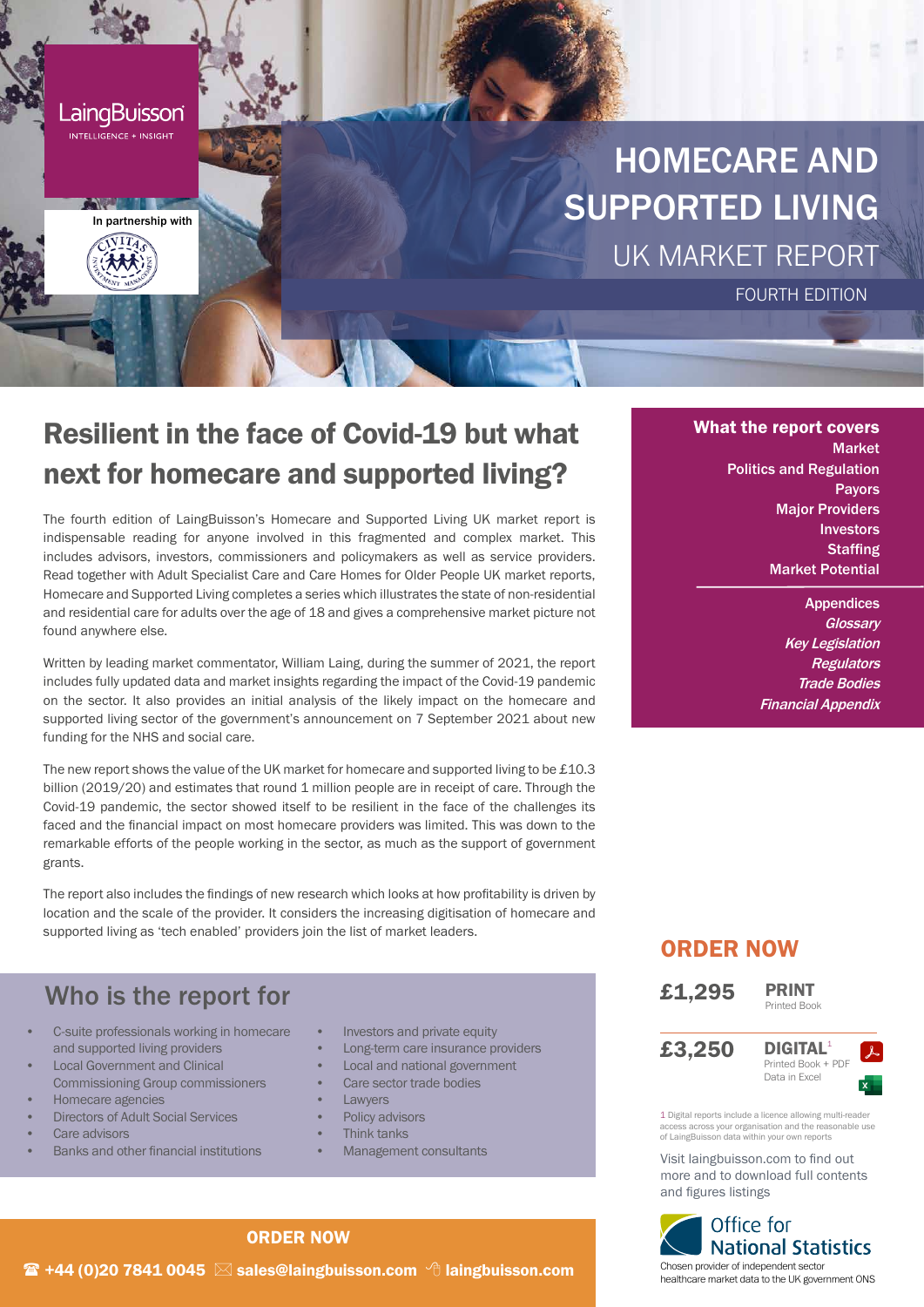

# Resilient in the face of Covid-19 but what next for homecare and supported living?

The fourth edition of LaingBuisson's Homecare and Supported Living UK market report is indispensable reading for anyone involved in this fragmented and complex market. This includes advisors, investors, commissioners and policymakers as well as service providers. Read together with Adult Specialist Care and Care Homes for Older People UK market reports, Homecare and Supported Living completes a series which illustrates the state of non-residential and residential care for adults over the age of 18 and gives a comprehensive market picture not found anywhere else.

Written by leading market commentator, William Laing, during the summer of 2021, the report includes fully updated data and market insights regarding the impact of the Covid-19 pandemic on the sector. It also provides an initial analysis of the likely impact on the homecare and supported living sector of the government's announcement on 7 September 2021 about new funding for the NHS and social care.

The new report shows the value of the UK market for homecare and supported living to be  $£10.3$ billion (2019/20) and estimates that round 1 million people are in receipt of care. Through the Covid-19 pandemic, the sector showed itself to be resilient in the face of the challenges its faced and the financial impact on most homecare providers was limited. This was down to the remarkable efforts of the people working in the sector, as much as the support of government grants.

The report also includes the findings of new research which looks at how profitability is driven by location and the scale of the provider. It considers the increasing digitisation of homecare and supported living as 'tech enabled' providers join the list of market leaders.

## Who is the report for

- C-suite professionals working in homecare and supported living providers
- **Local Government and Clinical** Commissioning Group commissioners
- Homecare agencies
- Directors of Adult Social Services
- Care advisors
- Banks and other financial institutions
- Investors and private equity
- Long-term care insurance providers
- Local and national government
- Care sector trade bodies
- Lawyers
- Policy advisors
- Think tanks
- Management consultants

#### What the report covers Market Politics and Regulation Payors Major Providers Investors **Staffing** Market Potential

**Appendices Glossarv** Key Legislation **Regulators** Trade Bodies Financial Appendix

### ORDER NOW

£1,295





1 Digital reports include a licence allowing multi-read .<br>ss across your organisation and the reasonable use of LaingBuisson data within your own reports

Visit laingbuisson.com to find out more and to download full contents and figures listings



#### ORDER NOW